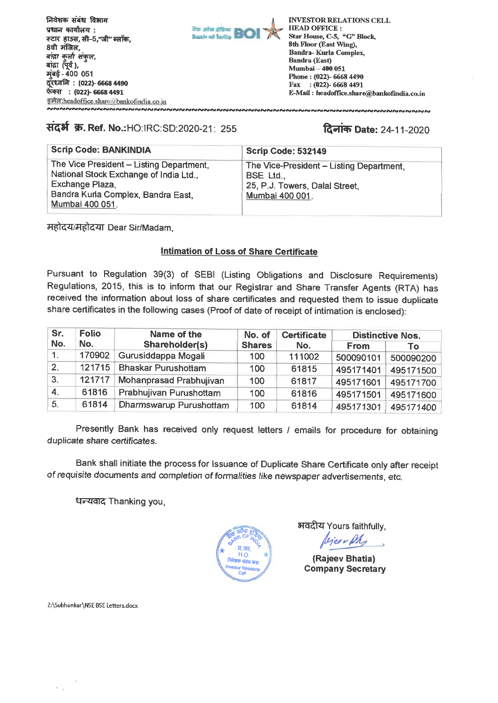

# संदर्भ क्र. Ref. No.:HO:IRC:SD:2020-21: 255

# **दिनांक Date: 24-11-2020**

| <b>Scrip Code: BANKINDIA</b>                                                                                                                                   | <b>Scrip Code: 532149</b>                                                                                  |
|----------------------------------------------------------------------------------------------------------------------------------------------------------------|------------------------------------------------------------------------------------------------------------|
| The Vice President - Listing Department,<br>National Stock Exchange of India Ltd.,<br>Exchange Plaza,<br>Bandra Kurla Complex, Bandra East,<br>Mumbai 400 051. | The Vice-President - Listing Department,<br>BSE Ltd.,<br>25, P.J. Towers, Dalal Street,<br>Mumbai 400 001. |

महोदय/महोदया Dear Sir/Madam.

### **Intimation of Loss of Share Certificate**

Pursuant to Regulation 39(3) of SEBI (Listing Obligations and Disclosure Requirements) Regulations, 2015, this is to inform that our Registrar and Share Transfer Agents (RTA) has received the information about loss of share certificates and requested them to issue duplicate share certificates in the following cases (Proof of date of receipt of intimation is enclosed):

| Sr.              | <b>Folio</b> | Name of the                | No. of        | <b>Certificate</b> | <b>Distinctive Nos.</b> |           |
|------------------|--------------|----------------------------|---------------|--------------------|-------------------------|-----------|
| No.              | No.          | Shareholder(s)             | <b>Shares</b> | No.                | <b>From</b>             | Тο        |
| $\mathbf{1}$ .   | 170902       | Gurusiddappa Mogali        | 100           | 111002             | 500090101               | 500090200 |
| $\overline{2}$ . | 121715       | <b>Bhaskar Purushottam</b> | 100           | 61815              | 495171401               | 495171500 |
| 3.               | 121717       | Mohanprasad Prabhujivan    | 100           | 61817              | 495171601               | 495171700 |
| $\overline{4}$ . | 61816        | Prabhujivan Purushottam    | 100           | 61816              | 495171501               | 495171600 |
| 5 <sub>1</sub>   | 61814        | Dharmswarup Purushottam    | 100           | 61814              | 495171301               | 495171400 |

Presently Bank has received only request letters / emails for procedure for obtaining duplicate share certificates.

Bank shall initiate the process for Issuance of Duplicate Share Certificate only after receipt of requisite documents and completion of formalities like newspaper advertisements, etc.

धन्यवाद Thanking you,



भवदीय Yours faithfully,

bien en

(Rajeev Bhatia) **Company Secretary** 

Z:\Subhankar\NSE BSE Letters.docx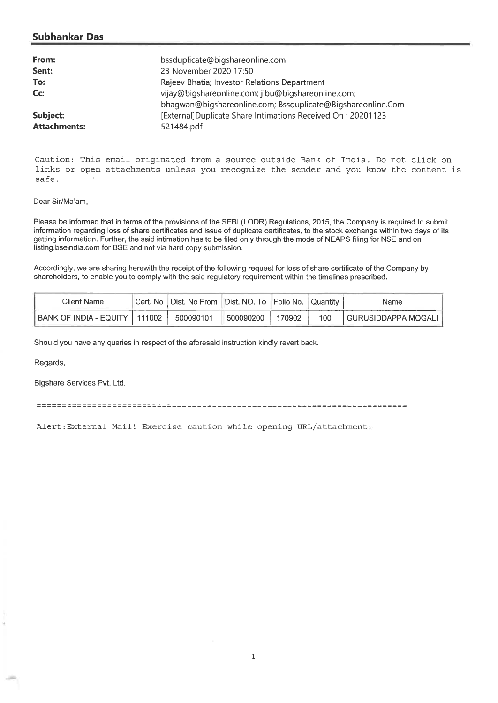## **Subhankar Das**

| From:               | bssduplicate@bigshareonline.com                             |
|---------------------|-------------------------------------------------------------|
| Sent:               | 23 November 2020 17:50                                      |
| To:                 | Rajeev Bhatia; Investor Relations Department                |
| Cc:                 | vijay@biqshareonline.com; jibu@biqshareonline.com;          |
|                     | bhaqwan@biqshareonline.com; Bssduplicate@Bigshareonline.Com |
| Subject:            | [External]Duplicate Share Intimations Received On: 20201123 |
| <b>Attachments:</b> | 521484.pdf                                                  |

Caution: This email originated from a source outside Bank of India. Do not click on links or open attachments unless you recognize the sender and you know the content is safe.

#### Dear Sir/Ma'am,

Please be informed that in terms of the provisions of the SEBI (LODR) Regulations, 2015, the Company is required to submit information regarding loss of share certificates and issue of duplicate certificates, to the stock exchange within two days of its getting information. Further, the said intimation has to be filed only through the mode of NEAPS filing for NSE and on listing.bseindia.com for BSE and not via hard copy submission.

Accordingly, we are sharing herewith the receipt of the following request for loss of share certificate of the Company by shareholders, to enable you to comply with the said regulatory requirement within the timelines prescribed.

| Client Name            | Cert.<br>No. | Dist. No From | Dist. NO. To I | ®Folio No. | Quantity | Name                |
|------------------------|--------------|---------------|----------------|------------|----------|---------------------|
| BANK OF INDIA - EQUITY | 111002       | 500090101     | 500090200      | 70902      | 100      | GURUSIDDAPPA MOGAL' |

Should you have any queries in respect of the aforesaid instruction kindly revert back.

Regards,

Bigshare Services Pvt. Ltd.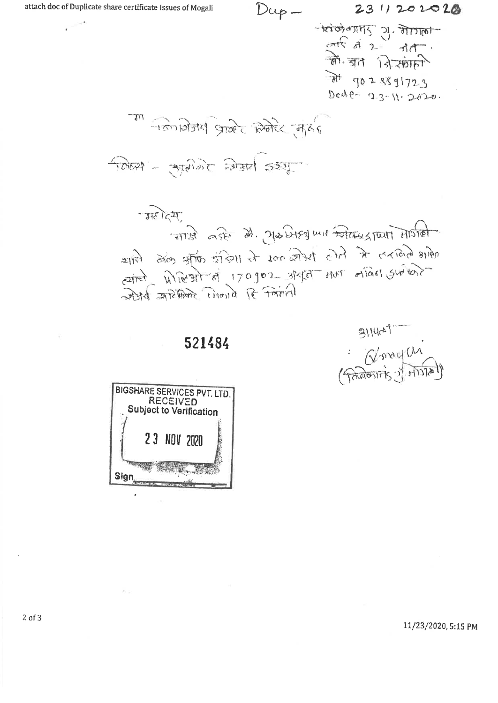$D \omega p -$ 

2311202020

pricing of Spirage अर्प में 2 जाता।<br>को जाता जिसमारी  $7028891723$ Deste- 23-11-2020.

रे में के किसी जनव मिलियान मा

 $TSS = \frac{1}{1200}$  Jan 1909

कहोट्यू artosta marzusten und estere de Bra Bino अमी लेकिन में जिस में 200 की रही के पहले में लिए carred Wierart of 170go2 statel that either survey जीवर्त आरक्षिकर मिलाये हि निवाली

521484

 $31144T$ 



11/23/2020, 5:15 PM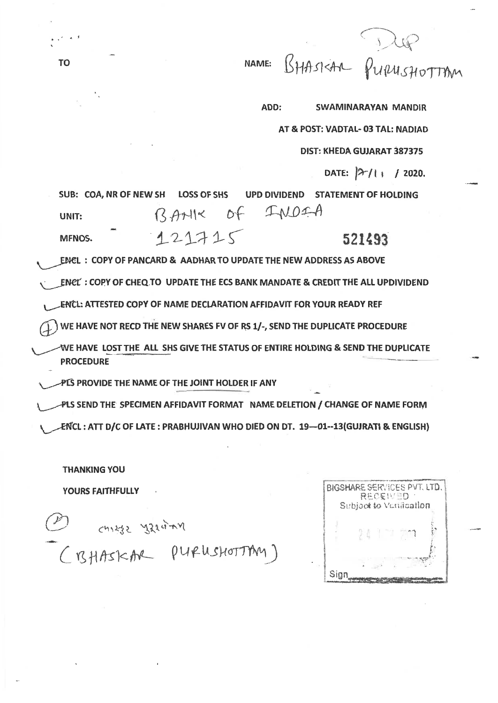BHASKAR PURUSHOTTAM NAME:

ADD: **SWAMINARAYAN MANDIR** AT & POST: VADTAL- 03 TAL: NADIAD DIST: KHEDA GUJARAT 387375 DATE:  $|\frac{2}{1}|$  / 2020. SUB: COA, NR OF NEW SH **LOSS OF SHS** UPD DIVIDEND STATEMENT OF HOLDING BANK OF INDIA **UNIT:**  $121715$ 521493 MFNOS. ENCL: COPY OF PANCARD & AADHAR TO UPDATE THE NEW ADDRESS AS ABOVE ENCL : COPY OF CHEQ TO UPDATE THE ECS BANK MANDATE & CREDIT THE ALL UPDIVIDEND ENCL: ATTESTED COPY OF NAME DECLARATION AFFIDAVIT FOR YOUR READY REF WE HAVE NOT RECD THE NEW SHARES FV OF RS 1/-, SEND THE DUPLICATE PROCEDURE WE HAVE LOST THE ALL SHS GIVE THE STATUS OF ENTIRE HOLDING & SEND THE DUPLICATE **PROCEDURE** PLS PROVIDE THE NAME OF THE JOINT HOLDER IF ANY PLS SEND THE SPECIMEN AFFIDAVIT FORMAT NAME DELETION / CHANGE OF NAME FORM ENCL: ATT D/C OF LATE: PRABHUJIVAN WHO DIED ON DT. 19-01--13(GUJRATI & ENGLISH)

**THANKING YOU** 

**YOURS FAITHFULLY** 

chieze szeciny (BHASKAR PURUSHOTTAM)

BIGSHARE SERVICES PVT. LTD. RECENTD Subject to Variacation Sign

**TO**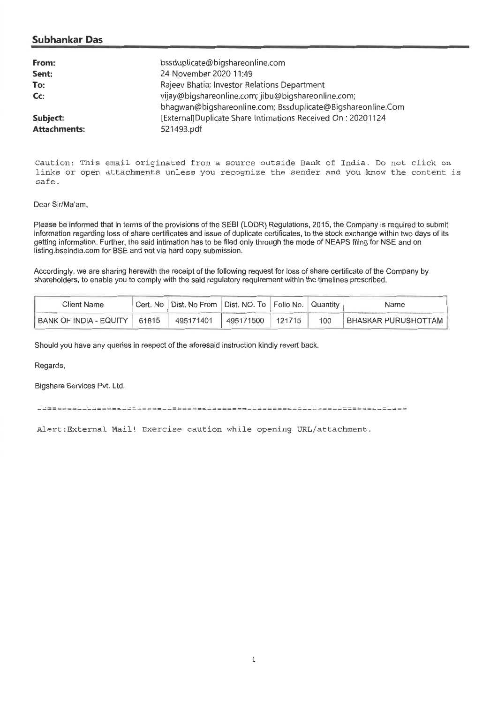## **Su bhankar Das**

| From:               | bssduplicate@bigshareonline.com                             |
|---------------------|-------------------------------------------------------------|
| Sent:               | 24 November 2020 11:49                                      |
| To:                 | Rajeev Bhatia, Investor Relations Department                |
| $Cc$ :              | vijay@bigshareonline.com; jibu@bigshareonline.com;          |
|                     | bhagwan@bigshareonline.com; Bssduplicate@Bigshareonline.Com |
| Subject:            | [External]Duplicate Share Intimations Received On: 20201124 |
| <b>Attachments:</b> | 521493.pdf                                                  |

Caution: This email originated from a source outside Bank of India. Do not click on links or open attachments unless you recognize the sender and you know the content is safe.

#### Dear Sir/Ma'am,

Please be informed that in terms of the provisions of the SEBI (LODR) Regulations, 2015, the Company is required to submit information regarding loss of share certificates and issue of duplicate certificates, to the stock exchange within two days of its getting information. Further, the said intimation has to be filed only through the mode of NEAPS filing for NSE and on listing.bseindia.com for BSE and not via hard copy submission.

Accordingly, we are sharing herewith the receipt of the following request for loss of share certificate of the Company by shareholders, to enable you to comply with the said regulatory requirement within the timelines prescribed.

| Client Name                   | Cert. No | Dist. No From | I Dist. NO. To Folio No. |        | l Quantitv | Name                |
|-------------------------------|----------|---------------|--------------------------|--------|------------|---------------------|
| <b>BANK OF INDIA - EQUITY</b> | 61815    | 495171401     | 495171500                | 121715 | 100        | BHASKAR PURUSHOTTAM |

Should you have any queries in respect of the aforesaid instruction kindly revert back.

Regards,

Bigshare Services Pvt. Ltd.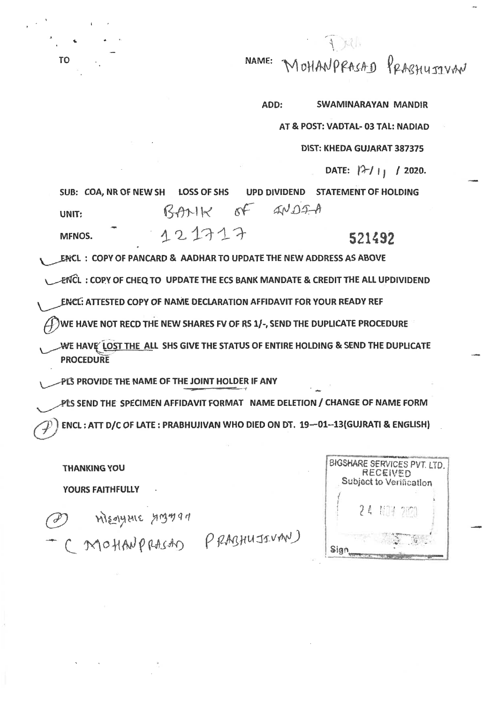MOHANPRASAD PRARHUTIVAN NAME:

ADD: **SWAMINARAYAN MANDIR** 

AT & POST: VADTAL- 03 TAL: NADIAD

**DIST: KHEDA GUJARAT 387375** 

DATE:  $|2/11/2020$ .

SUB: COA, NR OF NEW SH **LOSS OF SHS UPD DIVIDEND STATEMENT OF HOLDING**  $ANDFA$  $R$  $M$  $R$  $\delta f$ UNIT: 121717 MFNOS. 521492

ENCL: COPY OF PANCARD & AADHAR TO UPDATE THE NEW ADDRESS AS ABOVE

ENCL: COPY OF CHEQ TO UPDATE THE ECS BANK MANDATE & CREDIT THE ALL UPDIVIDEND

ENCL: ATTESTED COPY OF NAME DECLARATION AFFIDAVIT FOR YOUR READY REF

WE HAVE NOT RECD THE NEW SHARES FV OF RS 1/-, SEND THE DUPLICATE PROCEDURE

WE HAVE LOST THE ALL SHS GIVE THE STATUS OF ENTIRE HOLDING & SEND THE DUPLICATE **PROCEDURE** 

PLS PROVIDE THE NAME OF THE JOINT HOLDER IF ANY

PLS SEND THE SPECIMEN AFFIDAVIT FORMAT NAME DELETION / CHANGE OF NAME FORM ENCL: ATT D/C OF LATE: PRABHUJIVAN WHO DIED ON DT. 19-01--13(GUJRATI & ENGLISH)

**THANKING YOU** YOURS FAITHFULLY

Meagure youan

TO

(MOHANPRASAD PRABHUJIVAN)

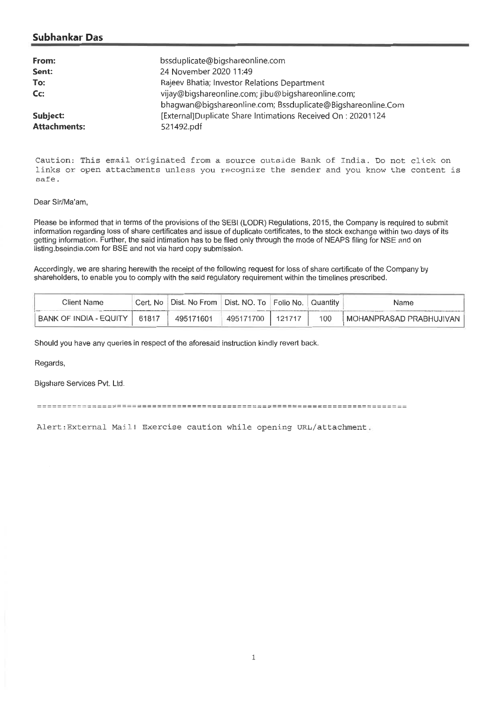# **Subhankar Das**

| From:               | bssduplicate@bigshareonline.com                             |
|---------------------|-------------------------------------------------------------|
| Sent:               | 24 November 2020 11:49                                      |
| To:                 | Rajeev Bhatia; Investor Relations Department                |
| Cc:                 | vijay@bigshareonline.com; jibu@bigshareonline.com;          |
|                     | bhagwan@bigshareonline.com; Bssduplicate@Bigshareonline.Com |
| Subject:            | [External]Duplicate Share Intimations Received On: 20201124 |
| <b>Attachments:</b> | 521492.pdf                                                  |

Caution: This email originated from a source outside Bank of India. Do not click on links or open attachments unless you recognize the sender and you know the content is safe.

#### Dear Sir/Ma'am,

Please be informed that in terms of the provisions of the SEBI (LODR) Regulations, 2015, the Company is required to submit information regarding loss of share certificates and issue of duplicate certificates, to the stock exchange within two days of its getting information. Further, the said intimation has to be filed only through the mode of NEAPS filing for NSE and on listing.bseindia.com for BSE and not via hard copy submission.

Accordingly, we are sharing herewith the receipt of the following request for loss of share certificate of the Company by shareholders, to enable you to comply with the said regulatory requirement within the timelines prescribed.

| Client Name            | Cert. No | ⊦Dist. No From I | Dist. NO. To   Folio No. | Quantitv | Name                    |
|------------------------|----------|------------------|--------------------------|----------|-------------------------|
| BANK OF INDIA - EQUITY | 61817    | 495171601        | 495171700                | $100 -$  | MOHANPRASAD PRABHUJIVAN |

Should you have any queries in respect of the aforesaid instruction kindly revert back.

Regards,

Bigshare Services Pvt. Ltd.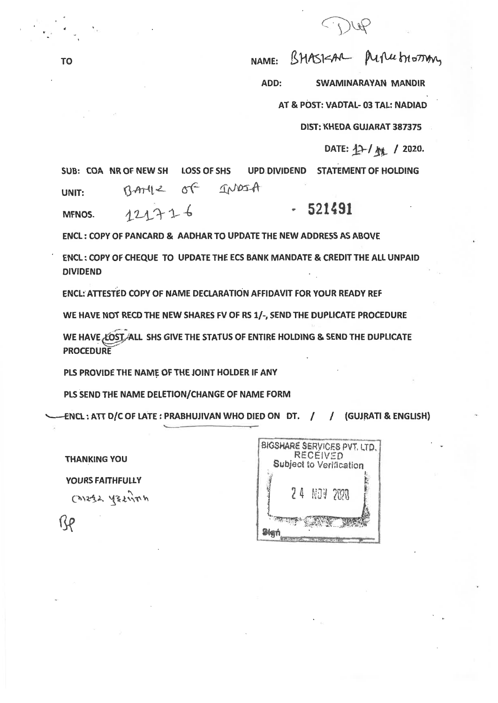TO NAME: BHASISAR PLACE FORM

**ADD: SWAMINARAYAN MANDIR** 

**AT & POST: VADTAL- 03 TAL: NADIAD** 

**DIST: KHEDA GUJARAT 387375** 

DATE:  $12$ -/  $\frac{1}{2}$  / 2020.

**SUB: COA NR OF NEW SH LOSS OF SHS UPD DIVIDEND STATEMENT OF HOLDING**  UNIT: BAME of INDIA

**MFNOS. 521491** 

**ENCL : COPY OF PANCARD & AADHAR TO UPDATE THE NEW ADDRESS AS ABOVE** 

**ENCL : COPY OF CHEQUE TO UPDATE THE ECS BANK MANDATE & CREDIT THE ALL UNPAID DIVIDEND** 

**ENCL: ATTESTED COPY OF NAME DECLARATION AFFIDAVIT FOR YOUR READY REF** 

WE HAVE NOT RECD THE NEW SHARES FV OF RS 1/-, SEND THE DUPLICATE PROCEDURE

WE HAVE LOST ALL SHS GIVE THE STATUS OF ENTIRE HOLDING & SEND THE DUPLICATE **PROCEDURE** 

**PLS PROVIDE THE NAME OF THE JOINT HOLDER IF ANY** 

**PLS SEND THE NAME DELETION/CHANGE OF NAME FORM** 

**: ATT D/C OF LATE : PRABHUJIVAN WHO DIED ON DT. / / (GUJRATI & ENGLISH)** 

**THANKING YOU YOURS FAITHFULLY**   $C^{x_1x_2}$   $C^{x_2x_3}$   $C^{x_3}$  $R_{\rm P}$ 

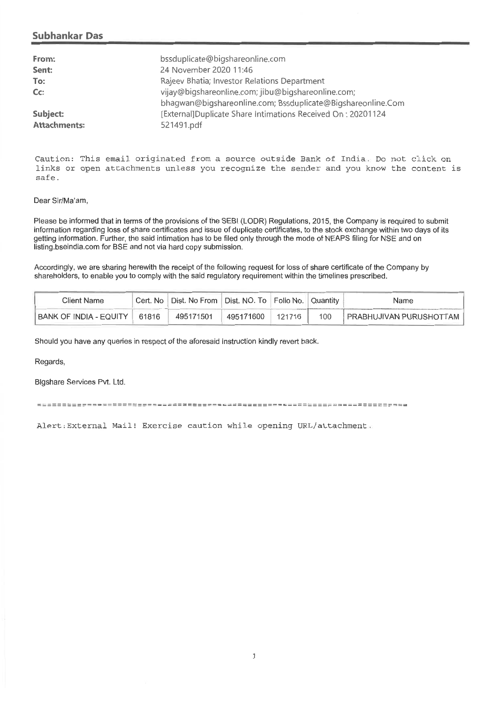### **Subhankar Das**

| From:               | bssduplicate@bigshareonline.com                             |
|---------------------|-------------------------------------------------------------|
| Sent:               | 24 November 2020 11:46                                      |
| To:                 | Rajeev Bhatia; Investor Relations Department                |
| $Cc$ :              | vijay@bigshareonline.com; jibu@bigshareonline.com;          |
|                     | bhaqwan@biqshareonline.com; Bssduplicate@Biqshareonline.Com |
| Subject:            | [External]Duplicate Share Intimations Received On: 20201124 |
| <b>Attachments:</b> | 521491.pdf                                                  |

Caution: This email originated from a source outside Bank of India. Do not click on links or open attachments unless you recognize the sender and you know the content is safe.

#### Dear Sir/Ma'am,

Please be informed that in terms of the provisions of the SEBI (LODR) Regulations, 2015, the Company is required to submit information regarding loss of share certificates and issue of duplicate certificates, to the stock exchange within two days of its getting information. Further, the said intimation has to be filed only through the mode of NEAPS filing for NSE and on listing.bseindia.com for BSE and not via hard copy submission.

Accordingly, we are sharing herewith the receipt of the following request for loss of share certificate of the Company by shareholders, to enable you to comply with the said regulatory requirement within the timelines prescribed.

| Client Name                |       | Cert. No   Dist. No From   Dist. NO. To   Folio No. |           |            | ∣ Quantit∨ | Name                    |
|----------------------------|-------|-----------------------------------------------------|-----------|------------|------------|-------------------------|
| ! BANK OF INDIA - EQUITY ∥ | 61816 | 495171501                                           | 495171600 | $121716$ . | 100        | PRABHUJIVAN PURUSHOTTAM |

Should you have any queries in respect of the aforesaid instruction kindly revert back.

Regards,

Bigshare Services Pvt. Ltd.